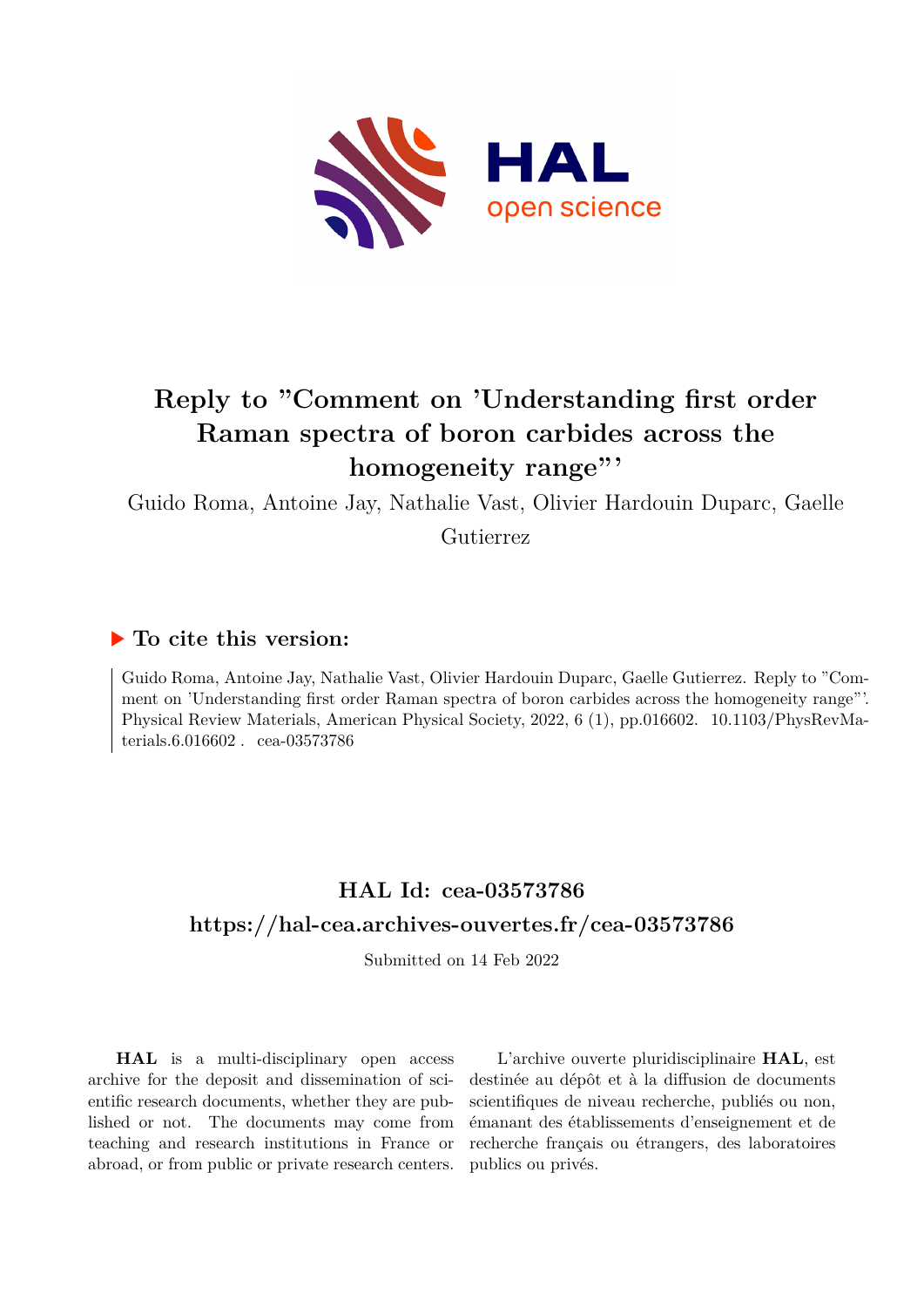

## **Reply to "Comment on 'Understanding first order Raman spectra of boron carbides across the homogeneity range"'**

Guido Roma, Antoine Jay, Nathalie Vast, Olivier Hardouin Duparc, Gaelle

Gutierrez

## **To cite this version:**

Guido Roma, Antoine Jay, Nathalie Vast, Olivier Hardouin Duparc, Gaelle Gutierrez. Reply to "Comment on 'Understanding first order Raman spectra of boron carbides across the homogeneity range"'. Physical Review Materials, American Physical Society, 2022, 6 (1), pp.016602. 10.1103/PhysRevMaterials. $6.016602$ . cea-03573786

## **HAL Id: cea-03573786 <https://hal-cea.archives-ouvertes.fr/cea-03573786>**

Submitted on 14 Feb 2022

**HAL** is a multi-disciplinary open access archive for the deposit and dissemination of scientific research documents, whether they are published or not. The documents may come from teaching and research institutions in France or abroad, or from public or private research centers.

L'archive ouverte pluridisciplinaire **HAL**, est destinée au dépôt et à la diffusion de documents scientifiques de niveau recherche, publiés ou non, émanant des établissements d'enseignement et de recherche français ou étrangers, des laboratoires publics ou privés.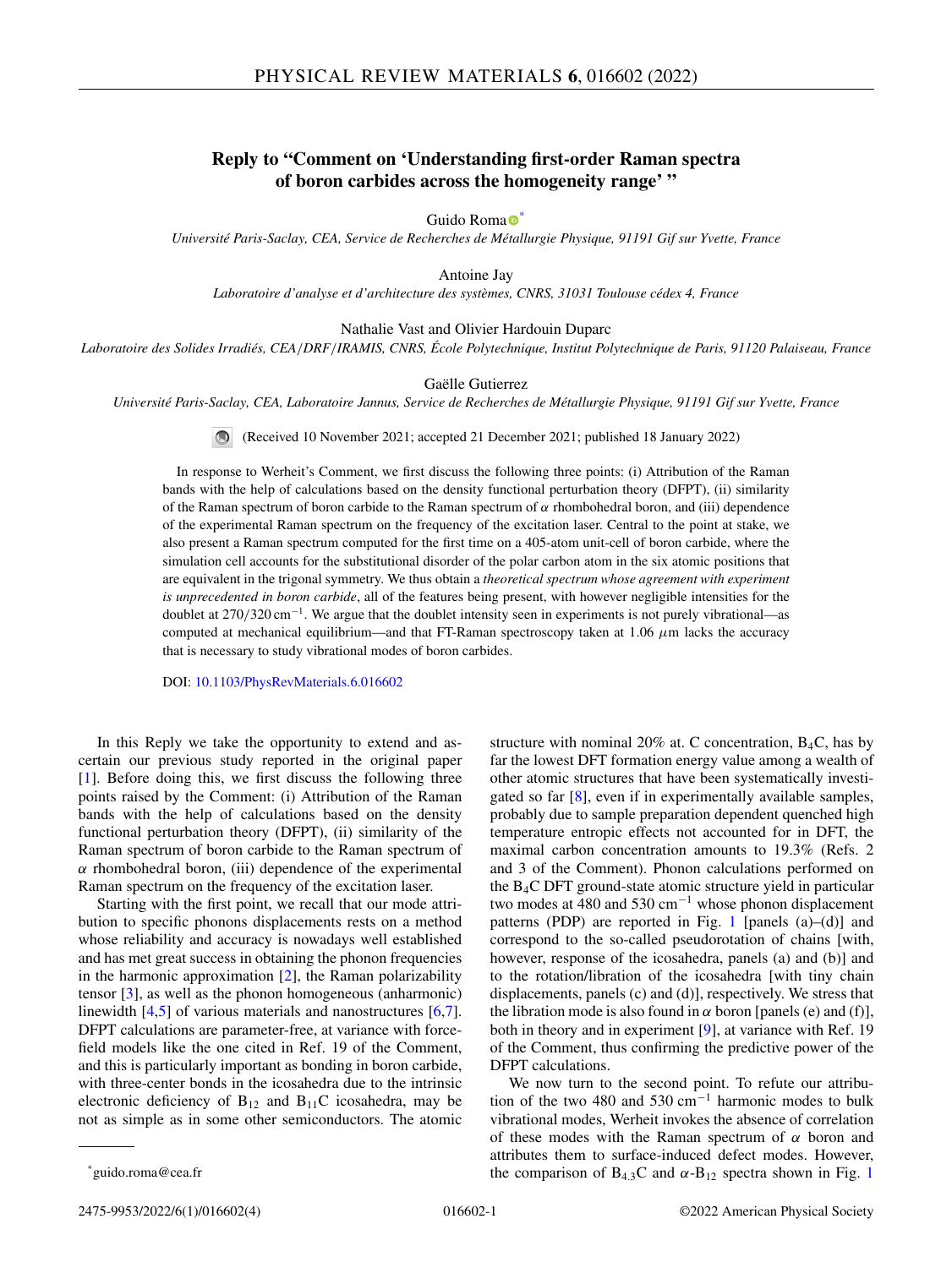## **Reply to "Comment on 'Understanding first-order Raman spectra of boron carbides across the homogeneity range' "**

Guido Roma $\bullet$ <sup>[\\*](https://orcid.org/0000-0002-9779-4868)</sup>

*Université Paris-Saclay, CEA, Service de Recherches de Métallurgie Physique, 91191 Gif sur Yvette, France*

Antoine Jay

*Laboratoire d'analyse et d'architecture des systèmes, CNRS, 31031 Toulouse cédex 4, France*

Nathalie Vast and Olivier Hardouin Duparc

*Laboratoire des Solides Irradiés, CEA*/*DRF*/*IRAMIS, CNRS, École Polytechnique, Institut Polytechnique de Paris, 91120 Palaiseau, France*

Gaëlle Gutierrez

*Université Paris-Saclay, CEA, Laboratoire Jannus, Service de Recherches de Métallurgie Physique, 91191 Gif sur Yvette, France*

(Received 10 November 2021; accepted 21 December 2021; published 18 January 2022)  $\odot$ 

In response to Werheit's Comment, we first discuss the following three points: (i) Attribution of the Raman bands with the help of calculations based on the density functional perturbation theory (DFPT), (ii) similarity of the Raman spectrum of boron carbide to the Raman spectrum of  $\alpha$  rhombohedral boron, and (iii) dependence of the experimental Raman spectrum on the frequency of the excitation laser. Central to the point at stake, we also present a Raman spectrum computed for the first time on a 405-atom unit-cell of boron carbide, where the simulation cell accounts for the substitutional disorder of the polar carbon atom in the six atomic positions that are equivalent in the trigonal symmetry. We thus obtain a *theoretical spectrum whose agreement with experiment is unprecedented in boron carbide*, all of the features being present, with however negligible intensities for the doublet at 270/320 cm−1. We argue that the doublet intensity seen in experiments is not purely vibrational—as computed at mechanical equilibrium—and that FT-Raman spectroscopy taken at 1.06  $\mu$ m lacks the accuracy that is necessary to study vibrational modes of boron carbides.

DOI: [10.1103/PhysRevMaterials.6.016602](https://doi.org/10.1103/PhysRevMaterials.6.016602)

In this Reply we take the opportunity to extend and ascertain our previous study reported in the original paper [1]. Before doing this, we first discuss the following three points raised by the Comment: (i) Attribution of the Raman bands with the help of calculations based on the density functional perturbation theory (DFPT), (ii) similarity of the Raman spectrum of boron carbide to the Raman spectrum of  $\alpha$  rhombohedral boron, (iii) dependence of the experimental Raman spectrum on the frequency of the excitation laser.

Starting with the first point, we recall that our mode attribution to specific phonons displacements rests on a method whose reliability and accuracy is nowadays well established and has met great success in obtaining the phonon frequencies in the harmonic approximation  $[2]$ , the Raman polarizability tensor [3], as well as the phonon homogeneous (anharmonic) linewidth [4,5] of various materials and nanostructures [6,7]. DFPT calculations are parameter-free, at variance with forcefield models like the one cited in Ref. 19 of the Comment, and this is particularly important as bonding in boron carbide, with three-center bonds in the icosahedra due to the intrinsic electronic deficiency of  $B_{12}$  and  $B_{11}C$  icosahedra, may be not as simple as in some other semiconductors. The atomic

structure with nominal 20% at. C concentration,  $B_4C$ , has by far the lowest DFT formation energy value among a wealth of other atomic structures that have been systematically investigated so far [8], even if in experimentally available samples, probably due to sample preparation dependent quenched high temperature entropic effects not accounted for in DFT, the maximal carbon concentration amounts to 19.3% (Refs. 2 and 3 of the Comment). Phonon calculations performed on the B4C DFT ground-state atomic structure yield in particular two modes at 480 and 530  $cm^{-1}$  whose phonon displacement patterns (PDP) are reported in Fig. 1 [panels  $(a)$ – $(d)$ ] and correspond to the so-called pseudorotation of chains [with, however, response of the icosahedra, panels (a) and (b)] and to the rotation/libration of the icosahedra [with tiny chain displacements, panels (c) and (d)], respectively. We stress that the libration mode is also found in  $\alpha$  boron [panels (e) and (f)], both in theory and in experiment [9], at variance with Ref. 19 of the Comment, thus confirming the predictive power of the DFPT calculations.

We now turn to the second point. To refute our attribution of the two 480 and 530  $cm^{-1}$  harmonic modes to bulk vibrational modes, Werheit invokes the absence of correlation of these modes with the Raman spectrum of  $\alpha$  boron and attributes them to surface-induced defect modes. However, the comparison of  $B_{4,3}C$  and  $\alpha$ - $B_{12}$  spectra shown in Fig. 1

<sup>\*</sup>guido.roma@cea.fr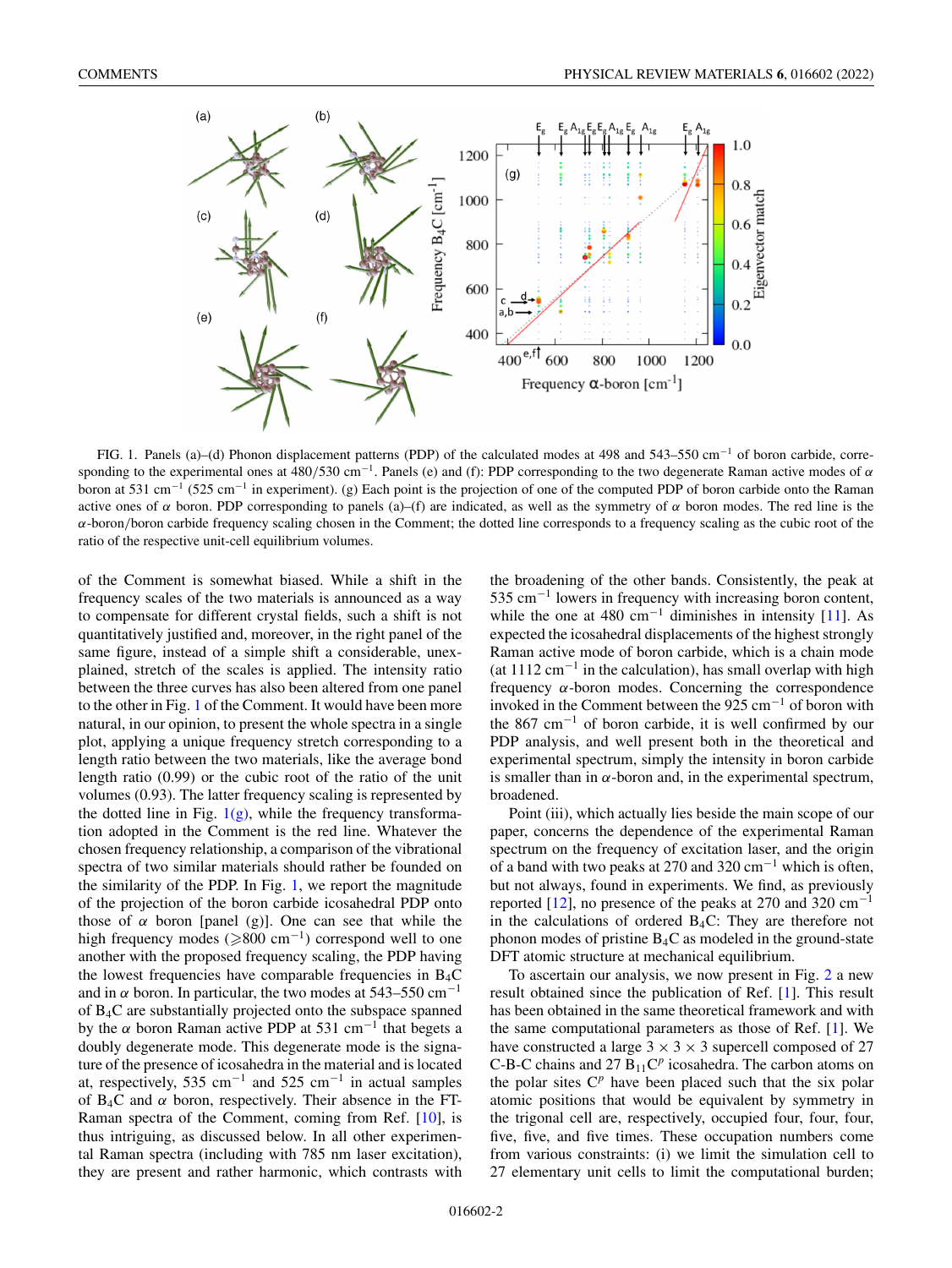

FIG. 1. Panels (a)–(d) Phonon displacement patterns (PDP) of the calculated modes at 498 and 543–550 cm−<sup>1</sup> of boron carbide, corresponding to the experimental ones at  $\frac{480}{530}$  cm<sup>-1</sup>. Panels (e) and (f): PDP corresponding to the two degenerate Raman active modes of  $\alpha$ boron at 531 cm−<sup>1</sup> (525 cm−<sup>1</sup> in experiment). (g) Each point is the projection of one of the computed PDP of boron carbide onto the Raman active ones of  $\alpha$  boron. PDP corresponding to panels (a)–(f) are indicated, as well as the symmetry of  $\alpha$  boron modes. The red line is the  $\alpha$ -boron/boron carbide frequency scaling chosen in the Comment; the dotted line corresponds to a frequency scaling as the cubic root of the ratio of the respective unit-cell equilibrium volumes.

of the Comment is somewhat biased. While a shift in the frequency scales of the two materials is announced as a way to compensate for different crystal fields, such a shift is not quantitatively justified and, moreover, in the right panel of the same figure, instead of a simple shift a considerable, unexplained, stretch of the scales is applied. The intensity ratio between the three curves has also been altered from one panel to the other in Fig. 1 of the Comment. It would have been more natural, in our opinion, to present the whole spectra in a single plot, applying a unique frequency stretch corresponding to a length ratio between the two materials, like the average bond length ratio (0.99) or the cubic root of the ratio of the unit volumes (0.93). The latter frequency scaling is represented by the dotted line in Fig.  $1(g)$ , while the frequency transformation adopted in the Comment is the red line. Whatever the chosen frequency relationship, a comparison of the vibrational spectra of two similar materials should rather be founded on the similarity of the PDP. In Fig. 1, we report the magnitude of the projection of the boron carbide icosahedral PDP onto those of  $\alpha$  boron [panel (g)]. One can see that while the high frequency modes  $(\geq 800 \text{ cm}^{-1})$  correspond well to one another with the proposed frequency scaling, the PDP having the lowest frequencies have comparable frequencies in  $B_4C$ and in  $\alpha$  boron. In particular, the two modes at 543–550 cm<sup>-1</sup> of B4C are substantially projected onto the subspace spanned by the  $\alpha$  boron Raman active PDP at 531 cm<sup>-1</sup> that begets a doubly degenerate mode. This degenerate mode is the signature of the presence of icosahedra in the material and is located at, respectively, 535 cm<sup>-1</sup> and 525 cm<sup>-1</sup> in actual samples of  $B_4C$  and  $\alpha$  boron, respectively. Their absence in the FT-Raman spectra of the Comment, coming from Ref. [10], is thus intriguing, as discussed below. In all other experimental Raman spectra (including with 785 nm laser excitation), they are present and rather harmonic, which contrasts with the broadening of the other bands. Consistently, the peak at 535 cm−<sup>1</sup> lowers in frequency with increasing boron content, while the one at 480 cm<sup>-1</sup> diminishes in intensity [11]. As expected the icosahedral displacements of the highest strongly Raman active mode of boron carbide, which is a chain mode (at  $1112 \text{ cm}^{-1}$  in the calculation), has small overlap with high frequency  $\alpha$ -boron modes. Concerning the correspondence invoked in the Comment between the 925 cm<sup>-1</sup> of boron with the 867 cm−<sup>1</sup> of boron carbide, it is well confirmed by our PDP analysis, and well present both in the theoretical and experimental spectrum, simply the intensity in boron carbide is smaller than in  $\alpha$ -boron and, in the experimental spectrum, broadened.

Point (iii), which actually lies beside the main scope of our paper, concerns the dependence of the experimental Raman spectrum on the frequency of excitation laser, and the origin of a band with two peaks at 270 and 320 cm−<sup>1</sup> which is often, but not always, found in experiments. We find, as previously reported [12], no presence of the peaks at 270 and 320  $cm^{-1}$ in the calculations of ordered  $B_4C$ : They are therefore not phonon modes of pristine B4C as modeled in the ground-state DFT atomic structure at mechanical equilibrium.

To ascertain our analysis, we now present in Fig. 2 a new result obtained since the publication of Ref. [1]. This result has been obtained in the same theoretical framework and with the same computational parameters as those of Ref. [1]. We have constructed a large  $3 \times 3 \times 3$  supercell composed of 27 C-B-C chains and 27  $B_{11}C^p$  icosahedra. The carbon atoms on the polar sites  $C<sup>p</sup>$  have been placed such that the six polar atomic positions that would be equivalent by symmetry in the trigonal cell are, respectively, occupied four, four, four, five, five, and five times. These occupation numbers come from various constraints: (i) we limit the simulation cell to 27 elementary unit cells to limit the computational burden;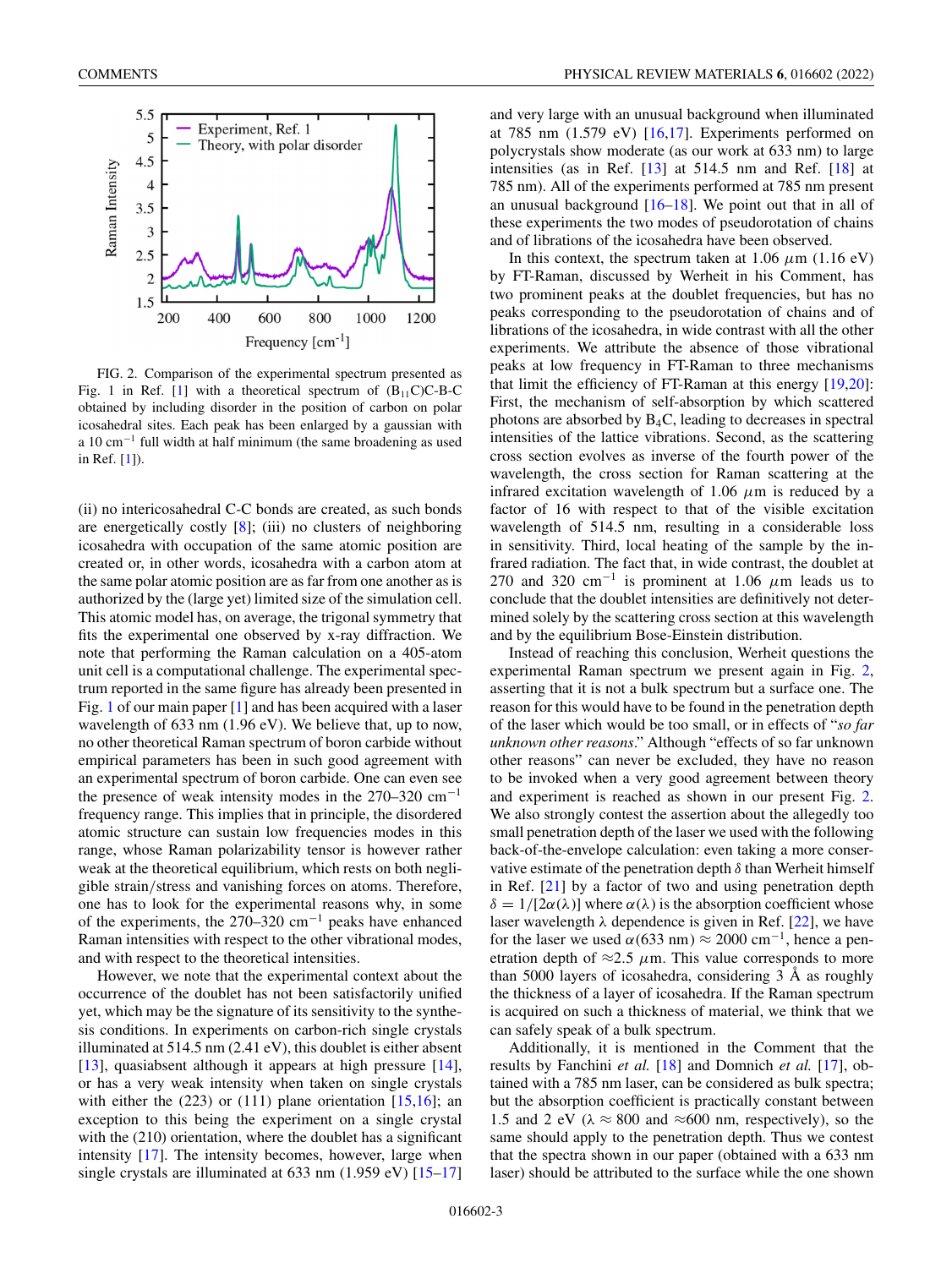

FIG. 2. Comparison of the experimental spectrum presented as Fig. 1 in Ref. [1] with a theoretical spectrum of  $(B_{11}C)C-B-C$ obtained by including disorder in the position of carbon on polar icosahedral sites. Each peak has been enlarged by a gaussian with a 10 cm−<sup>1</sup> full width at half minimum (the same broadening as used in Ref. [1]).

(ii) no intericosahedral C-C bonds are created, as such bonds are energetically costly  $[8]$ ; (iii) no clusters of neighboring icosahedra with occupation of the same atomic position are created or, in other words, icosahedra with a carbon atom at the same polar atomic position are as far from one another as is authorized by the (large yet) limited size of the simulation cell. This atomic model has, on average, the trigonal symmetry that fits the experimental one observed by x-ray diffraction. We note that performing the Raman calculation on a 405-atom unit cell is a computational challenge. The experimental spectrum reported in the same figure has already been presented in Fig. 1 of our main paper [1] and has been acquired with a laser wavelength of 633 nm (1.96 eV). We believe that, up to now, no other theoretical Raman spectrum of boron carbide without empirical parameters has been in such good agreement with an experimental spectrum of boron carbide. One can even see the presence of weak intensity modes in the 270–320 cm−<sup>1</sup> frequency range. This implies that in principle, the disordered atomic structure can sustain low frequencies modes in this range, whose Raman polarizability tensor is however rather weak at the theoretical equilibrium, which rests on both negligible strain/stress and vanishing forces on atoms. Therefore, one has to look for the experimental reasons why, in some of the experiments, the 270–320 cm−<sup>1</sup> peaks have enhanced Raman intensities with respect to the other vibrational modes, and with respect to the theoretical intensities.

However, we note that the experimental context about the occurrence of the doublet has not been satisfactorily unified yet, which may be the signature of its sensitivity to the synthesis conditions. In experiments on carbon-rich single crystals illuminated at 514.5 nm (2.41 eV), this doublet is either absent [13], quasiabsent although it appears at high pressure [14], or has a very weak intensity when taken on single crystals with either the  $(223)$  or  $(111)$  plane orientation  $[15,16]$ ; an exception to this being the experiment on a single crystal with the (210) orientation, where the doublet has a significant intensity [17]. The intensity becomes, however, large when single crystals are illuminated at 633 nm (1.959 eV) [15–17] and very large with an unusual background when illuminated at 785 nm  $(1.579 \text{ eV})$  [16,17]. Experiments performed on polycrystals show moderate (as our work at 633 nm) to large intensities (as in Ref. [13] at 514.5 nm and Ref. [18] at 785 nm). All of the experiments performed at 785 nm present an unusual background  $[16–18]$ . We point out that in all of these experiments the two modes of pseudorotation of chains and of librations of the icosahedra have been observed.

In this context, the spectrum taken at 1.06  $\mu$ m (1.16 eV) by FT-Raman, discussed by Werheit in his Comment, has two prominent peaks at the doublet frequencies, but has no peaks corresponding to the pseudorotation of chains and of librations of the icosahedra, in wide contrast with all the other experiments. We attribute the absence of those vibrational peaks at low frequency in FT-Raman to three mechanisms that limit the efficiency of FT-Raman at this energy [19,20]: First, the mechanism of self-absorption by which scattered photons are absorbed by B4C, leading to decreases in spectral intensities of the lattice vibrations. Second, as the scattering cross section evolves as inverse of the fourth power of the wavelength, the cross section for Raman scattering at the infrared excitation wavelength of 1.06  $\mu$ m is reduced by a factor of 16 with respect to that of the visible excitation wavelength of 514.5 nm, resulting in a considerable loss in sensitivity. Third, local heating of the sample by the infrared radiation. The fact that, in wide contrast, the doublet at 270 and 320 cm<sup>-1</sup> is prominent at 1.06  $\mu$ m leads us to conclude that the doublet intensities are definitively not determined solely by the scattering cross section at this wavelength and by the equilibrium Bose-Einstein distribution.

Instead of reaching this conclusion, Werheit questions the experimental Raman spectrum we present again in Fig. 2, asserting that it is not a bulk spectrum but a surface one. The reason for this would have to be found in the penetration depth of the laser which would be too small, or in effects of "*so far unknown other reasons*." Although "effects of so far unknown other reasons" can never be excluded, they have no reason to be invoked when a very good agreement between theory and experiment is reached as shown in our present Fig. 2. We also strongly contest the assertion about the allegedly too small penetration depth of the laser we used with the following back-of-the-envelope calculation: even taking a more conservative estimate of the penetration depth  $\delta$  than Werheit himself in Ref. [21] by a factor of two and using penetration depth  $\delta = 1/[2\alpha(\lambda)]$  where  $\alpha(\lambda)$  is the absorption coefficient whose laser wavelength  $\lambda$  dependence is given in Ref. [22], we have for the laser we used  $\alpha$ (633 nm)  $\approx$  2000 cm<sup>-1</sup>, hence a penetration depth of  $\approx$ 2.5  $\mu$ m. This value corresponds to more than 5000 layers of icosahedra, considering 3 Å as roughly the thickness of a layer of icosahedra. If the Raman spectrum is acquired on such a thickness of material, we think that we can safely speak of a bulk spectrum.

Additionally, it is mentioned in the Comment that the results by Fanchini *et al.* [18] and Domnich *et al.* [17], obtained with a 785 nm laser, can be considered as bulk spectra; but the absorption coefficient is practically constant between 1.5 and 2 eV ( $\lambda \approx 800$  and  $\approx 600$  nm, respectively), so the same should apply to the penetration depth. Thus we contest that the spectra shown in our paper (obtained with a 633 nm laser) should be attributed to the surface while the one shown